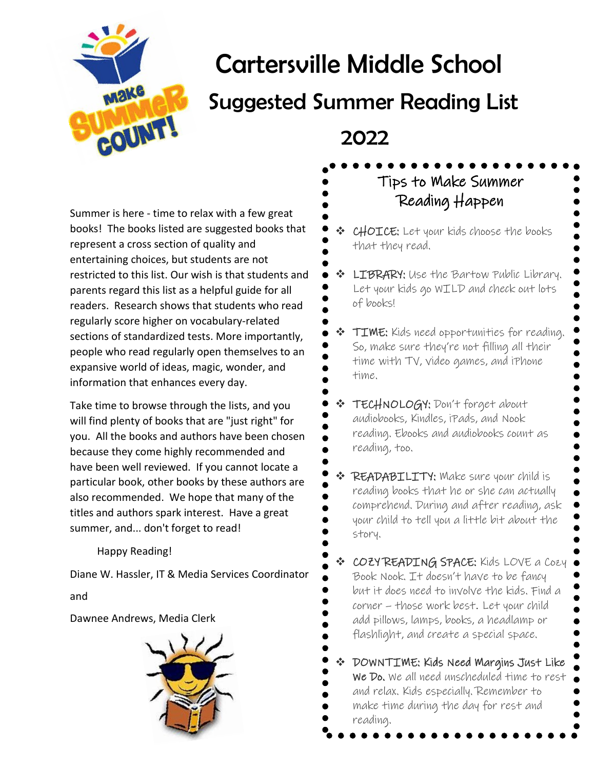

# Cartersville Middle School

# Suggested Summer Reading List

## 2022

Summer is here - time to relax with a few great books! The books listed are suggested books that represent a cross section of quality and entertaining choices, but students are not restricted to this list. Our wish is that students and parents regard this list as a helpful guide for all readers. Research shows that students who read regularly score higher on vocabulary-related sections of standardized tests. More importantly, people who read regularly open themselves to an expansive world of ideas, magic, wonder, and information that enhances every day.

Take time to browse through the lists, and you will find plenty of books that are "just right" for you. All the books and authors have been chosen because they come highly recommended and have been well reviewed. If you cannot locate a particular book, other books by these authors are also recommended. We hope that many of the titles and authors spark interest. Have a great summer, and... don't forget to read!

Happy Reading!

Diane W. Hassler, IT & Media Services Coordinator and

Dawnee Andrews, Media Clerk



Tips to Make Summer

- Reading Happen
- ❖ CHOICE: Let your kids choose the books that they read.
- **LIBRARY:** Use the Bartow Public Library. Let your kids go WILD and check out lots of books!
- ❖ TIME: Kids need opportunities for reading. So, make sure they're not filling all their time with TV, video games, and iPhone time.
- ❖ TECHNOLOGY: Don't forget about audiobooks, Kindles, iPads, and Nook reading. Ebooks and audiobooks count as reading, too.
- ❖ READABILITY: Make sure your child is reading books that he or she can actually comprehend. During and after reading, ask your child to tell you a little bit about the story.
- ❖ COZY READING SPACE: Kids LOVE a Cozy Book Nook. It doesn't have to be fancy but it does need to involve the kids. Find a corner – those work best. Let your child add pillows, lamps, books, a headlamp or flashlight, and create a special space.
- ❖ DOWNTIME: Kids Need Margins Just Like We Do. We all need unscheduled time to rest and relax. Kids especially. Remember to make time during the day for rest and reading.